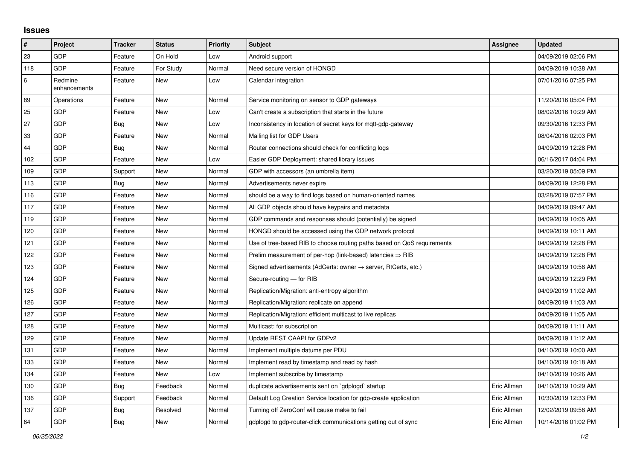## **Issues**

| $\vert$ # | Project                 | <b>Tracker</b> | <b>Status</b> | <b>Priority</b> | <b>Subject</b>                                                          | <b>Assignee</b> | <b>Updated</b>      |
|-----------|-------------------------|----------------|---------------|-----------------|-------------------------------------------------------------------------|-----------------|---------------------|
| 23        | GDP                     | Feature        | On Hold       | Low             | Android support                                                         |                 | 04/09/2019 02:06 PM |
| 118       | GDP                     | Feature        | For Study     | Normal          | Need secure version of HONGD                                            |                 | 04/09/2019 10:38 AM |
| 6         | Redmine<br>enhancements | Feature        | New           | Low             | Calendar integration                                                    |                 | 07/01/2016 07:25 PM |
| 89        | Operations              | Feature        | <b>New</b>    | Normal          | Service monitoring on sensor to GDP gateways                            |                 | 11/20/2016 05:04 PM |
| 25        | GDP                     | Feature        | <b>New</b>    | Low             | Can't create a subscription that starts in the future                   |                 | 08/02/2016 10:29 AM |
| 27        | GDP                     | <b>Bug</b>     | New           | Low             | Inconsistency in location of secret keys for mqtt-gdp-gateway           |                 | 09/30/2016 12:33 PM |
| 33        | GDP                     | Feature        | <b>New</b>    | Normal          | Mailing list for GDP Users                                              |                 | 08/04/2016 02:03 PM |
| 44        | GDP                     | <b>Bug</b>     | <b>New</b>    | Normal          | Router connections should check for conflicting logs                    |                 | 04/09/2019 12:28 PM |
| 102       | GDP                     | Feature        | <b>New</b>    | Low             | Easier GDP Deployment: shared library issues                            |                 | 06/16/2017 04:04 PM |
| 109       | GDP                     | Support        | <b>New</b>    | Normal          | GDP with accessors (an umbrella item)                                   |                 | 03/20/2019 05:09 PM |
| 113       | GDP                     | <b>Bug</b>     | <b>New</b>    | Normal          | Advertisements never expire                                             |                 | 04/09/2019 12:28 PM |
| 116       | GDP                     | Feature        | New           | Normal          | should be a way to find logs based on human-oriented names              |                 | 03/28/2019 07:57 PM |
| 117       | GDP                     | Feature        | <b>New</b>    | Normal          | All GDP objects should have keypairs and metadata                       |                 | 04/09/2019 09:47 AM |
| 119       | GDP                     | Feature        | <b>New</b>    | Normal          | GDP commands and responses should (potentially) be signed               |                 | 04/09/2019 10:05 AM |
| 120       | GDP                     | Feature        | <b>New</b>    | Normal          | HONGD should be accessed using the GDP network protocol                 |                 | 04/09/2019 10:11 AM |
| 121       | GDP                     | Feature        | <b>New</b>    | Normal          | Use of tree-based RIB to choose routing paths based on QoS requirements |                 | 04/09/2019 12:28 PM |
| 122       | GDP                     | Feature        | <b>New</b>    | Normal          | Prelim measurement of per-hop (link-based) latencies $\Rightarrow$ RIB  |                 | 04/09/2019 12:28 PM |
| 123       | GDP                     | Feature        | <b>New</b>    | Normal          | Signed advertisements (AdCerts: owner → server, RtCerts, etc.)          |                 | 04/09/2019 10:58 AM |
| 124       | GDP                     | Feature        | <b>New</b>    | Normal          | Secure-routing - for RIB                                                |                 | 04/09/2019 12:29 PM |
| 125       | GDP                     | Feature        | <b>New</b>    | Normal          | Replication/Migration: anti-entropy algorithm                           |                 | 04/09/2019 11:02 AM |
| 126       | GDP                     | Feature        | <b>New</b>    | Normal          | Replication/Migration: replicate on append                              |                 | 04/09/2019 11:03 AM |
| 127       | GDP                     | Feature        | New           | Normal          | Replication/Migration: efficient multicast to live replicas             |                 | 04/09/2019 11:05 AM |
| 128       | GDP                     | Feature        | <b>New</b>    | Normal          | Multicast: for subscription                                             |                 | 04/09/2019 11:11 AM |
| 129       | GDP                     | Feature        | <b>New</b>    | Normal          | Update REST CAAPI for GDPv2                                             |                 | 04/09/2019 11:12 AM |
| 131       | GDP                     | Feature        | <b>New</b>    | Normal          | Implement multiple datums per PDU                                       |                 | 04/10/2019 10:00 AM |
| 133       | GDP                     | Feature        | <b>New</b>    | Normal          | Implement read by timestamp and read by hash                            |                 | 04/10/2019 10:18 AM |
| 134       | GDP                     | Feature        | <b>New</b>    | Low             | Implement subscribe by timestamp                                        |                 | 04/10/2019 10:26 AM |
| 130       | GDP                     | <b>Bug</b>     | Feedback      | Normal          | duplicate advertisements sent on `gdplogd` startup                      | Eric Allman     | 04/10/2019 10:29 AM |
| 136       | GDP                     | Support        | Feedback      | Normal          | Default Log Creation Service location for gdp-create application        | Eric Allman     | 10/30/2019 12:33 PM |
| 137       | GDP                     | <b>Bug</b>     | Resolved      | Normal          | Turning off ZeroConf will cause make to fail                            | Eric Allman     | 12/02/2019 09:58 AM |
| 64        | GDP                     | Bug            | <b>New</b>    | Normal          | gdplogd to gdp-router-click communications getting out of sync          | Eric Allman     | 10/14/2016 01:02 PM |